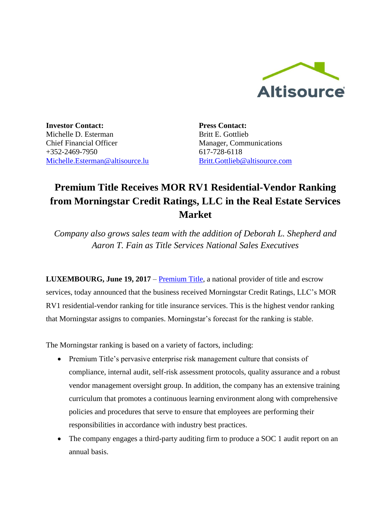

**Investor Contact:** Michelle D. Esterman Chief Financial Officer +352-2469-7950 [Michelle.Esterman@altisource.lu](mailto:Michelle.Esterman@altisource.lu) **Press Contact:** Britt E. Gottlieb Manager, Communications 617-728-6118 [Britt.Gottlieb@altisource.com](mailto:Britt.Gottlieb@altisource.com)

## **Premium Title Receives MOR RV1 Residential-Vendor Ranking from Morningstar Credit Ratings, LLC in the Real Estate Services Market**

*Company also grows sales team with the addition of Deborah L. Shepherd and Aaron T. Fain as Title Services National Sales Executives* 

**LUXEMBOURG, June 19, 2017** – **Premium Title**, a national provider of title and escrow services, today announced that the business received Morningstar Credit Ratings, LLC's MOR RV1 residential-vendor ranking for title insurance services. This is the highest vendor ranking that Morningstar assigns to companies. Morningstar's forecast for the ranking is stable.

The Morningstar ranking is based on a variety of factors, including:

- Premium Title's pervasive enterprise risk management culture that consists of compliance, internal audit, self-risk assessment protocols, quality assurance and a robust vendor management oversight group. In addition, the company has an extensive training curriculum that promotes a continuous learning environment along with comprehensive policies and procedures that serve to ensure that employees are performing their responsibilities in accordance with industry best practices.
- The company engages a third-party auditing firm to produce a SOC 1 audit report on an annual basis.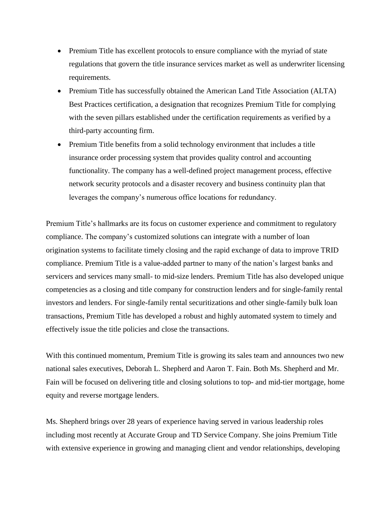- Premium Title has excellent protocols to ensure compliance with the myriad of state regulations that govern the title insurance services market as well as underwriter licensing requirements.
- Premium Title has successfully obtained the American Land Title Association (ALTA) Best Practices certification, a designation that recognizes Premium Title for complying with the seven pillars established under the certification requirements as verified by a third-party accounting firm.
- Premium Title benefits from a solid technology environment that includes a title insurance order processing system that provides quality control and accounting functionality. The company has a well-defined project management process, effective network security protocols and a disaster recovery and business continuity plan that leverages the company's numerous office locations for redundancy.

Premium Title's hallmarks are its focus on customer experience and commitment to regulatory compliance. The company's customized solutions can integrate with a number of loan origination systems to facilitate timely closing and the rapid exchange of data to improve TRID compliance. Premium Title is a value-added partner to many of the nation's largest banks and servicers and services many small- to mid-size lenders. Premium Title has also developed unique competencies as a closing and title company for construction lenders and for single-family rental investors and lenders. For single-family rental securitizations and other single-family bulk loan transactions, Premium Title has developed a robust and highly automated system to timely and effectively issue the title policies and close the transactions.

With this continued momentum, Premium Title is growing its sales team and announces two new national sales executives, Deborah L. Shepherd and Aaron T. Fain. Both Ms. Shepherd and Mr. Fain will be focused on delivering title and closing solutions to top- and mid-tier mortgage, home equity and reverse mortgage lenders.

Ms. Shepherd brings over 28 years of experience having served in various leadership roles including most recently at Accurate Group and TD Service Company. She joins Premium Title with extensive experience in growing and managing client and vendor relationships, developing